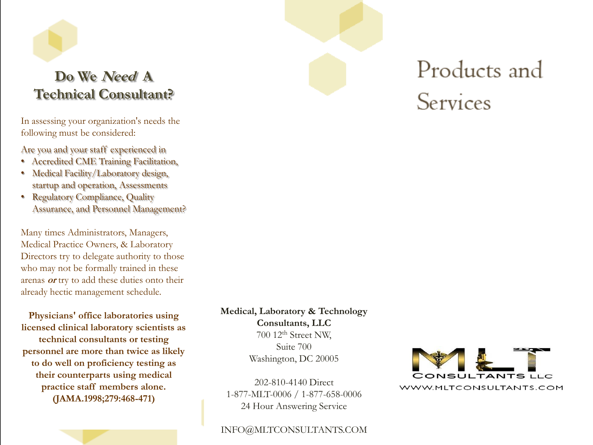### **Do We Need A Technical Consultant?**

In assessing your organization's needs the following must be considered:

Are you and your staff experienced in

- Accredited CME Training Facilitation,
- Medical Facility/Laboratory design, startup and operation, Assessments
- Regulatory Compliance, Quality Assurance, and Personnel Management?

Many times Administrators, Managers, Medical Practice Owners, & Laboratory Directors try to delegate authority to those who may not be formally trained in these arenas **or** try to add these duties onto their already hectic management schedule.

**Physicians' office laboratories using licensed clinical laboratory scientists as technical consultants or testing personnel are more than twice as likely to do well on proficiency testing as their counterparts using medical practice staff members alone. (JAMA.1998;279:468-471)**

**Medical, Laboratory & Technology** 

**Consultants, LLC** 700 12th Street NW, Suite 700 Washington, DC 20005

202-810-4140 Direct 1-877-MLT-0006 / 1-877-658-0006 24 Hour Answering Service

#### INFO@MLTCONSULTANTS.COM



Products and

Services